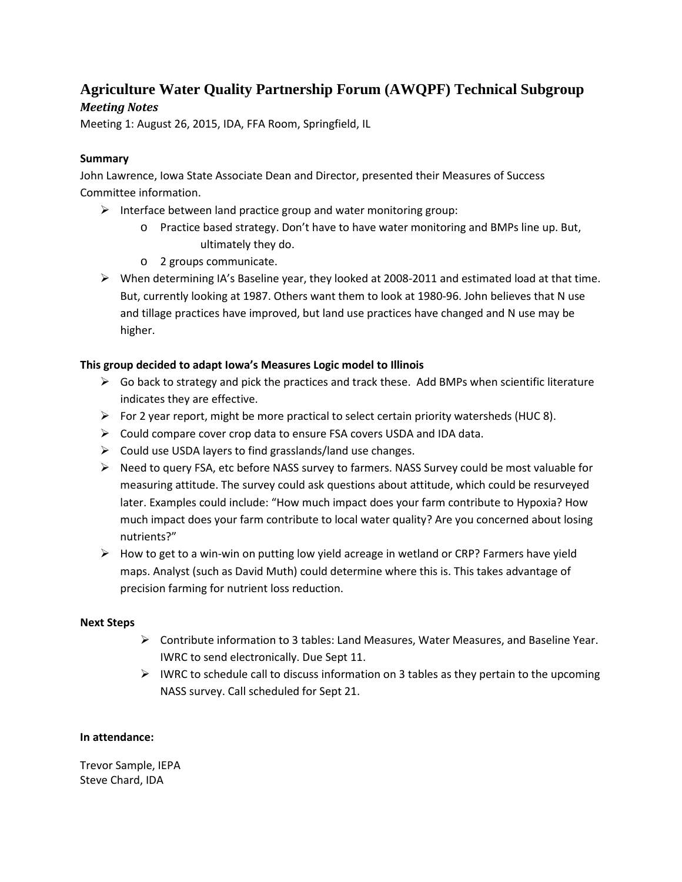# **Agriculture Water Quality Partnership Forum (AWQPF) Technical Subgroup**

## *Meeting Notes*

Meeting 1: August 26, 2015, IDA, FFA Room, Springfield, IL

## **Summary**

John Lawrence, Iowa State Associate Dean and Director, presented their Measures of Success Committee information.

- $\triangleright$  Interface between land practice group and water monitoring group:
	- o Practice based strategy. Don't have to have water monitoring and BMPs line up. But, ultimately they do.
	- o 2 groups communicate.
- $\triangleright$  When determining IA's Baseline year, they looked at 2008-2011 and estimated load at that time. But, currently looking at 1987. Others want them to look at 1980-96. John believes that N use and tillage practices have improved, but land use practices have changed and N use may be higher.

## **This group decided to adapt Iowa's Measures Logic model to Illinois**

- $\triangleright$  Go back to strategy and pick the practices and track these. Add BMPs when scientific literature indicates they are effective.
- $\triangleright$  For 2 year report, might be more practical to select certain priority watersheds (HUC 8).
- $\triangleright$  Could compare cover crop data to ensure FSA covers USDA and IDA data.
- $\triangleright$  Could use USDA layers to find grasslands/land use changes.
- $\triangleright$  Need to query FSA, etc before NASS survey to farmers. NASS Survey could be most valuable for measuring attitude. The survey could ask questions about attitude, which could be resurveyed later. Examples could include: "How much impact does your farm contribute to Hypoxia? How much impact does your farm contribute to local water quality? Are you concerned about losing nutrients?"
- $\triangleright$  How to get to a win-win on putting low yield acreage in wetland or CRP? Farmers have yield maps. Analyst (such as David Muth) could determine where this is. This takes advantage of precision farming for nutrient loss reduction.

## **Next Steps**

- $\triangleright$  Contribute information to 3 tables: Land Measures, Water Measures, and Baseline Year. IWRC to send electronically. Due Sept 11.
- $\triangleright$  IWRC to schedule call to discuss information on 3 tables as they pertain to the upcoming NASS survey. Call scheduled for Sept 21.

#### **In attendance:**

Trevor Sample, IEPA Steve Chard, IDA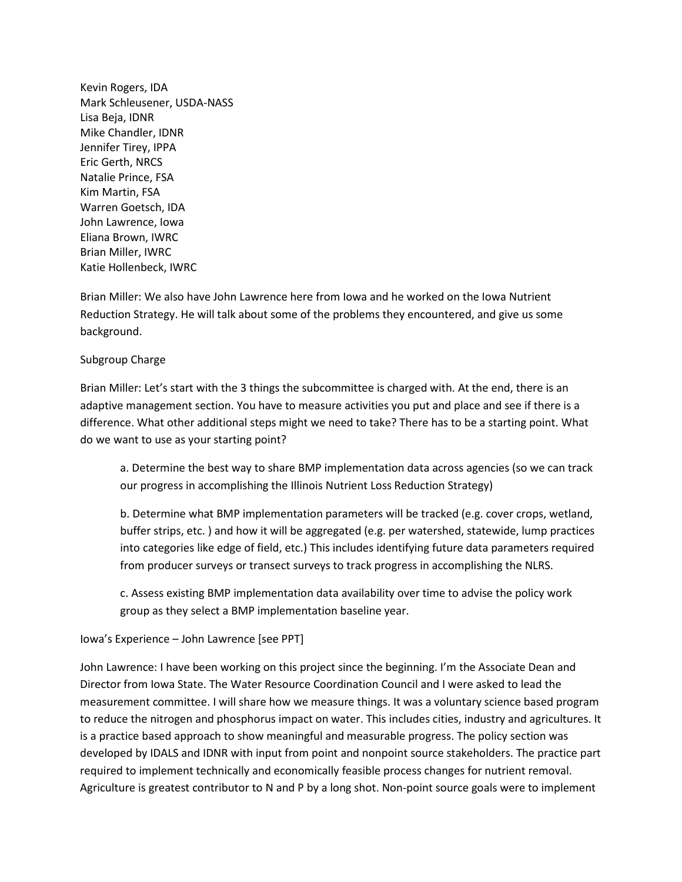Kevin Rogers, IDA Mark Schleusener, USDA-NASS Lisa Beja, IDNR Mike Chandler, IDNR Jennifer Tirey, IPPA Eric Gerth, NRCS Natalie Prince, FSA Kim Martin, FSA Warren Goetsch, IDA John Lawrence, Iowa Eliana Brown, IWRC Brian Miller, IWRC Katie Hollenbeck, IWRC

Brian Miller: We also have John Lawrence here from Iowa and he worked on the Iowa Nutrient Reduction Strategy. He will talk about some of the problems they encountered, and give us some background.

#### Subgroup Charge

Brian Miller: Let's start with the 3 things the subcommittee is charged with. At the end, there is an adaptive management section. You have to measure activities you put and place and see if there is a difference. What other additional steps might we need to take? There has to be a starting point. What do we want to use as your starting point?

a. Determine the best way to share BMP implementation data across agencies (so we can track our progress in accomplishing the Illinois Nutrient Loss Reduction Strategy)

b. Determine what BMP implementation parameters will be tracked (e.g. cover crops, wetland, buffer strips, etc. ) and how it will be aggregated (e.g. per watershed, statewide, lump practices into categories like edge of field, etc.) This includes identifying future data parameters required from producer surveys or transect surveys to track progress in accomplishing the NLRS.

c. Assess existing BMP implementation data availability over time to advise the policy work group as they select a BMP implementation baseline year.

#### Iowa's Experience – John Lawrence [see PPT]

John Lawrence: I have been working on this project since the beginning. I'm the Associate Dean and Director from Iowa State. The Water Resource Coordination Council and I were asked to lead the measurement committee. I will share how we measure things. It was a voluntary science based program to reduce the nitrogen and phosphorus impact on water. This includes cities, industry and agricultures. It is a practice based approach to show meaningful and measurable progress. The policy section was developed by IDALS and IDNR with input from point and nonpoint source stakeholders. The practice part required to implement technically and economically feasible process changes for nutrient removal. Agriculture is greatest contributor to N and P by a long shot. Non-point source goals were to implement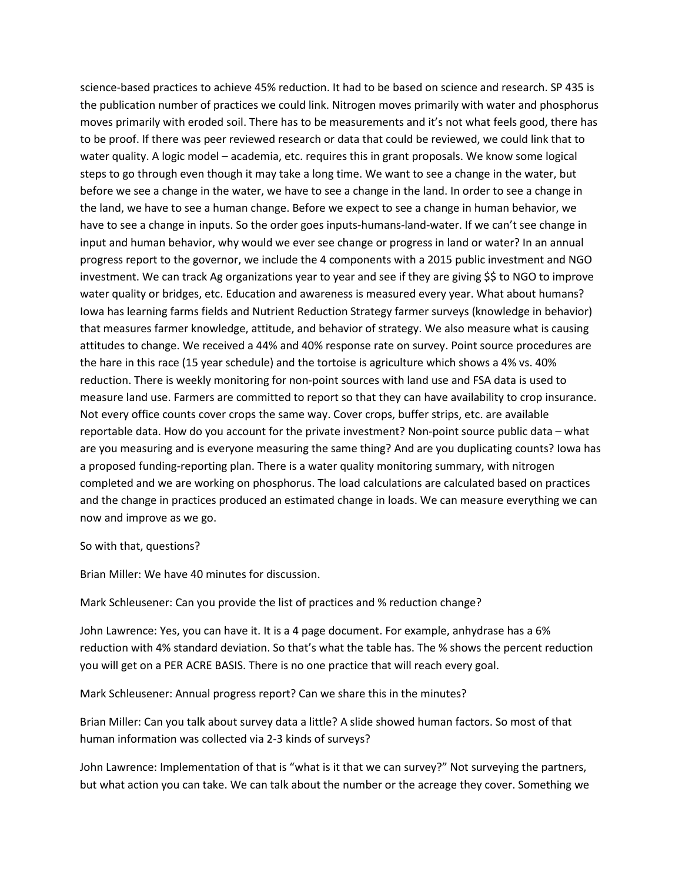science-based practices to achieve 45% reduction. It had to be based on science and research. SP 435 is the publication number of practices we could link. Nitrogen moves primarily with water and phosphorus moves primarily with eroded soil. There has to be measurements and it's not what feels good, there has to be proof. If there was peer reviewed research or data that could be reviewed, we could link that to water quality. A logic model – academia, etc. requires this in grant proposals. We know some logical steps to go through even though it may take a long time. We want to see a change in the water, but before we see a change in the water, we have to see a change in the land. In order to see a change in the land, we have to see a human change. Before we expect to see a change in human behavior, we have to see a change in inputs. So the order goes inputs-humans-land-water. If we can't see change in input and human behavior, why would we ever see change or progress in land or water? In an annual progress report to the governor, we include the 4 components with a 2015 public investment and NGO investment. We can track Ag organizations year to year and see if they are giving \$\$ to NGO to improve water quality or bridges, etc. Education and awareness is measured every year. What about humans? Iowa has learning farms fields and Nutrient Reduction Strategy farmer surveys (knowledge in behavior) that measures farmer knowledge, attitude, and behavior of strategy. We also measure what is causing attitudes to change. We received a 44% and 40% response rate on survey. Point source procedures are the hare in this race (15 year schedule) and the tortoise is agriculture which shows a 4% vs. 40% reduction. There is weekly monitoring for non-point sources with land use and FSA data is used to measure land use. Farmers are committed to report so that they can have availability to crop insurance. Not every office counts cover crops the same way. Cover crops, buffer strips, etc. are available reportable data. How do you account for the private investment? Non-point source public data – what are you measuring and is everyone measuring the same thing? And are you duplicating counts? Iowa has a proposed funding-reporting plan. There is a water quality monitoring summary, with nitrogen completed and we are working on phosphorus. The load calculations are calculated based on practices and the change in practices produced an estimated change in loads. We can measure everything we can now and improve as we go.

#### So with that, questions?

Brian Miller: We have 40 minutes for discussion.

Mark Schleusener: Can you provide the list of practices and % reduction change?

John Lawrence: Yes, you can have it. It is a 4 page document. For example, anhydrase has a 6% reduction with 4% standard deviation. So that's what the table has. The % shows the percent reduction you will get on a PER ACRE BASIS. There is no one practice that will reach every goal.

Mark Schleusener: Annual progress report? Can we share this in the minutes?

Brian Miller: Can you talk about survey data a little? A slide showed human factors. So most of that human information was collected via 2-3 kinds of surveys?

John Lawrence: Implementation of that is "what is it that we can survey?" Not surveying the partners, but what action you can take. We can talk about the number or the acreage they cover. Something we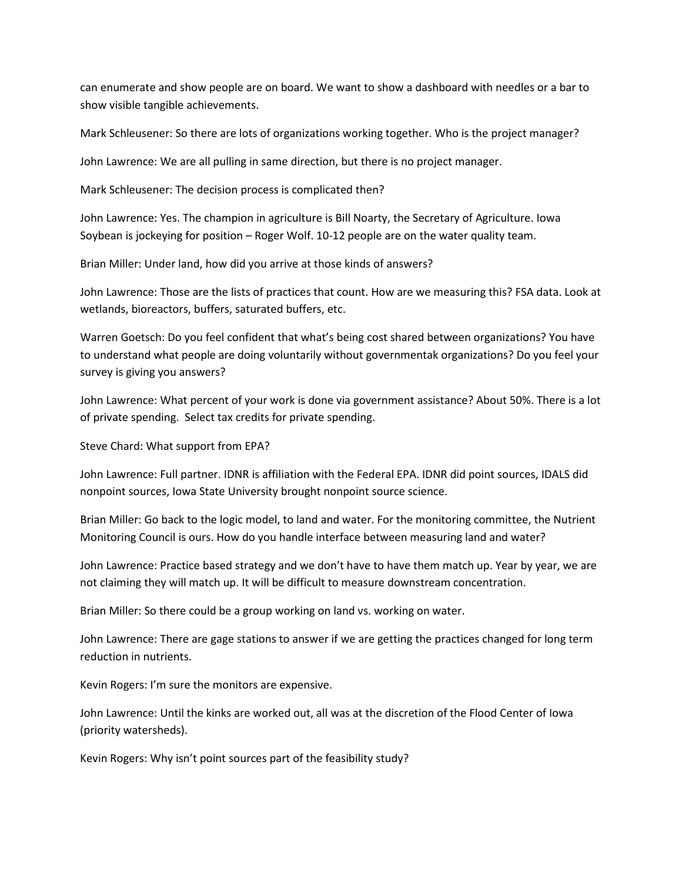can enumerate and show people are on board. We want to show a dashboard with needles or a bar to show visible tangible achievements.

Mark Schleusener: So there are lots of organizations working together. Who is the project manager?

John Lawrence: We are all pulling in same direction, but there is no project manager.

Mark Schleusener: The decision process is complicated then?

John Lawrence: Yes. The champion in agriculture is Bill Noarty, the Secretary of Agriculture. Iowa Soybean is jockeying for position – Roger Wolf. 10-12 people are on the water quality team.

Brian Miller: Under land, how did you arrive at those kinds of answers?

John Lawrence: Those are the lists of practices that count. How are we measuring this? FSA data. Look at wetlands, bioreactors, buffers, saturated buffers, etc.

Warren Goetsch: Do you feel confident that what's being cost shared between organizations? You have to understand what people are doing voluntarily without governmentak organizations? Do you feel your survey is giving you answers?

John Lawrence: What percent of your work is done via government assistance? About 50%. There is a lot of private spending. Select tax credits for private spending.

Steve Chard: What support from EPA?

John Lawrence: Full partner. IDNR is affiliation with the Federal EPA. IDNR did point sources, IDALS did nonpoint sources, Iowa State University brought nonpoint source science.

Brian Miller: Go back to the logic model, to land and water. For the monitoring committee, the Nutrient Monitoring Council is ours. How do you handle interface between measuring land and water?

John Lawrence: Practice based strategy and we don't have to have them match up. Year by year, we are not claiming they will match up. It will be difficult to measure downstream concentration.

Brian Miller: So there could be a group working on land vs. working on water.

John Lawrence: There are gage stations to answer if we are getting the practices changed for long term reduction in nutrients.

Kevin Rogers: I'm sure the monitors are expensive.

John Lawrence: Until the kinks are worked out, all was at the discretion of the Flood Center of Iowa (priority watersheds).

Kevin Rogers: Why isn't point sources part of the feasibility study?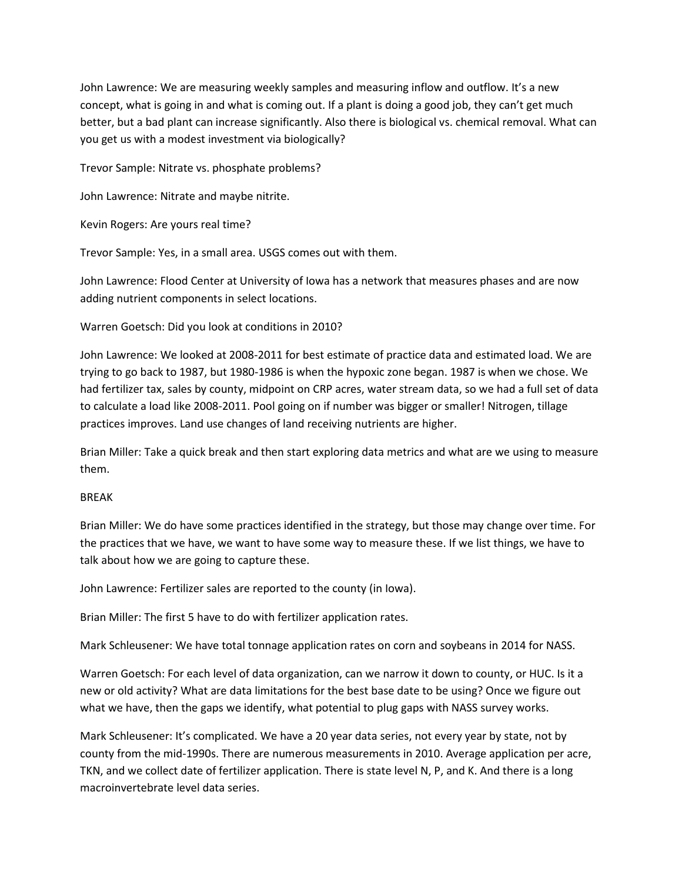John Lawrence: We are measuring weekly samples and measuring inflow and outflow. It's a new concept, what is going in and what is coming out. If a plant is doing a good job, they can't get much better, but a bad plant can increase significantly. Also there is biological vs. chemical removal. What can you get us with a modest investment via biologically?

Trevor Sample: Nitrate vs. phosphate problems?

John Lawrence: Nitrate and maybe nitrite.

Kevin Rogers: Are yours real time?

Trevor Sample: Yes, in a small area. USGS comes out with them.

John Lawrence: Flood Center at University of Iowa has a network that measures phases and are now adding nutrient components in select locations.

Warren Goetsch: Did you look at conditions in 2010?

John Lawrence: We looked at 2008-2011 for best estimate of practice data and estimated load. We are trying to go back to 1987, but 1980-1986 is when the hypoxic zone began. 1987 is when we chose. We had fertilizer tax, sales by county, midpoint on CRP acres, water stream data, so we had a full set of data to calculate a load like 2008-2011. Pool going on if number was bigger or smaller! Nitrogen, tillage practices improves. Land use changes of land receiving nutrients are higher.

Brian Miller: Take a quick break and then start exploring data metrics and what are we using to measure them.

#### BREAK

Brian Miller: We do have some practices identified in the strategy, but those may change over time. For the practices that we have, we want to have some way to measure these. If we list things, we have to talk about how we are going to capture these.

John Lawrence: Fertilizer sales are reported to the county (in Iowa).

Brian Miller: The first 5 have to do with fertilizer application rates.

Mark Schleusener: We have total tonnage application rates on corn and soybeans in 2014 for NASS.

Warren Goetsch: For each level of data organization, can we narrow it down to county, or HUC. Is it a new or old activity? What are data limitations for the best base date to be using? Once we figure out what we have, then the gaps we identify, what potential to plug gaps with NASS survey works.

Mark Schleusener: It's complicated. We have a 20 year data series, not every year by state, not by county from the mid-1990s. There are numerous measurements in 2010. Average application per acre, TKN, and we collect date of fertilizer application. There is state level N, P, and K. And there is a long macroinvertebrate level data series.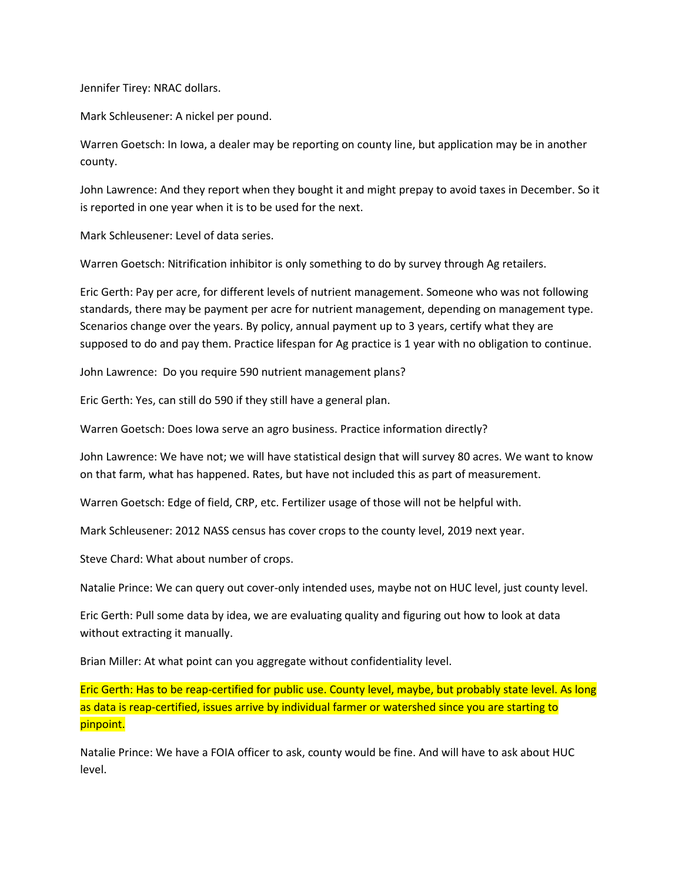Jennifer Tirey: NRAC dollars.

Mark Schleusener: A nickel per pound.

Warren Goetsch: In Iowa, a dealer may be reporting on county line, but application may be in another county.

John Lawrence: And they report when they bought it and might prepay to avoid taxes in December. So it is reported in one year when it is to be used for the next.

Mark Schleusener: Level of data series.

Warren Goetsch: Nitrification inhibitor is only something to do by survey through Ag retailers.

Eric Gerth: Pay per acre, for different levels of nutrient management. Someone who was not following standards, there may be payment per acre for nutrient management, depending on management type. Scenarios change over the years. By policy, annual payment up to 3 years, certify what they are supposed to do and pay them. Practice lifespan for Ag practice is 1 year with no obligation to continue.

John Lawrence: Do you require 590 nutrient management plans?

Eric Gerth: Yes, can still do 590 if they still have a general plan.

Warren Goetsch: Does Iowa serve an agro business. Practice information directly?

John Lawrence: We have not; we will have statistical design that will survey 80 acres. We want to know on that farm, what has happened. Rates, but have not included this as part of measurement.

Warren Goetsch: Edge of field, CRP, etc. Fertilizer usage of those will not be helpful with.

Mark Schleusener: 2012 NASS census has cover crops to the county level, 2019 next year.

Steve Chard: What about number of crops.

Natalie Prince: We can query out cover-only intended uses, maybe not on HUC level, just county level.

Eric Gerth: Pull some data by idea, we are evaluating quality and figuring out how to look at data without extracting it manually.

Brian Miller: At what point can you aggregate without confidentiality level.

Eric Gerth: Has to be reap-certified for public use. County level, maybe, but probably state level. As long as data is reap-certified, issues arrive by individual farmer or watershed since you are starting to pinpoint.

Natalie Prince: We have a FOIA officer to ask, county would be fine. And will have to ask about HUC level.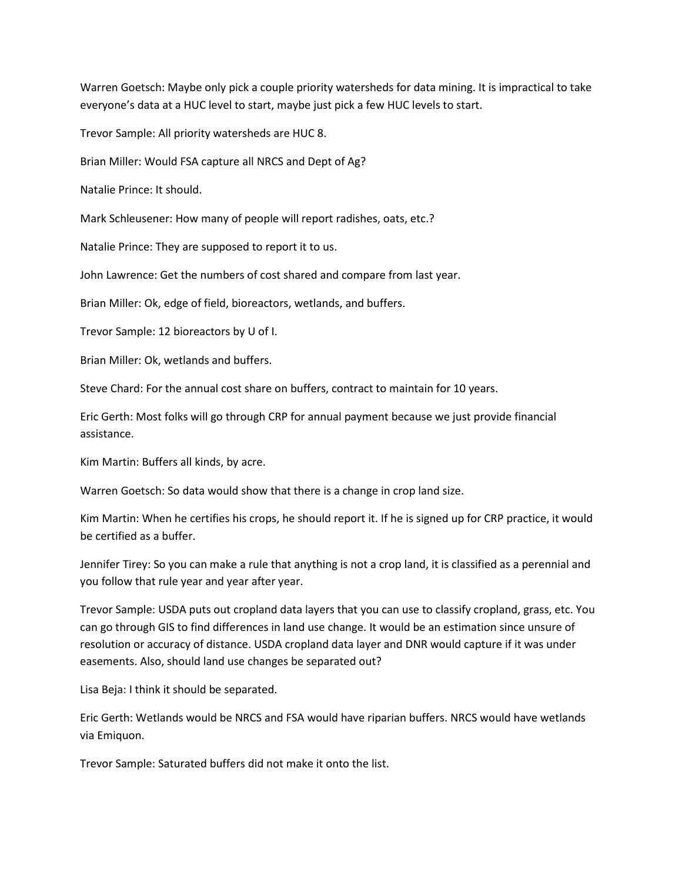Warren Goetsch: Maybe only pick a couple priority watersheds for data mining. It is impractical to take everyone's data at a HUC level to start, maybe just pick a few HUC levels to start.

Trevor Sample: All priority watersheds are HUC 8.

Brian Miller: Would FSA capture all NRCS and Dept of Ag?

Natalie Prince: It should.

Mark Schleusener: How many of people will report radishes, oats, etc.?

Natalie Prince: They are supposed to report it to us.

John Lawrence: Get the numbers of cost shared and compare from last year.

Brian Miller: Ok, edge of field, bioreactors, wetlands, and buffers.

Trevor Sample: 12 bioreactors by U of I.

Brian Miller: Ok, wetlands and buffers.

Steve Chard: For the annual cost share on buffers, contract to maintain for 10 years.

Eric Gerth: Most folks will go through CRP for annual payment because we just provide financial assistance.

Kim Martin: Buffers all kinds, by acre.

Warren Goetsch: So data would show that there is a change in crop land size.

Kim Martin: When he certifies his crops, he should report it. If he is signed up for CRP practice, it would be certified as a buffer.

Jennifer Tirey: So you can make a rule that anything is not a crop land, it is classified as a perennial and you follow that rule year and year after year.

Trevor Sample: USDA puts out cropland data layers that you can use to classify cropland, grass, etc. You can go through GIS to find differences in land use change. It would be an estimation since unsure of resolution or accuracy of distance. USDA cropland data layer and DNR would capture if it was under easements. Also, should land use changes be separated out?

Lisa Beja: I think it should be separated.

Eric Gerth: Wetlands would be NRCS and FSA would have riparian buffers. NRCS would have wetlands via Emiquon.

Trevor Sample: Saturated buffers did not make it onto the list.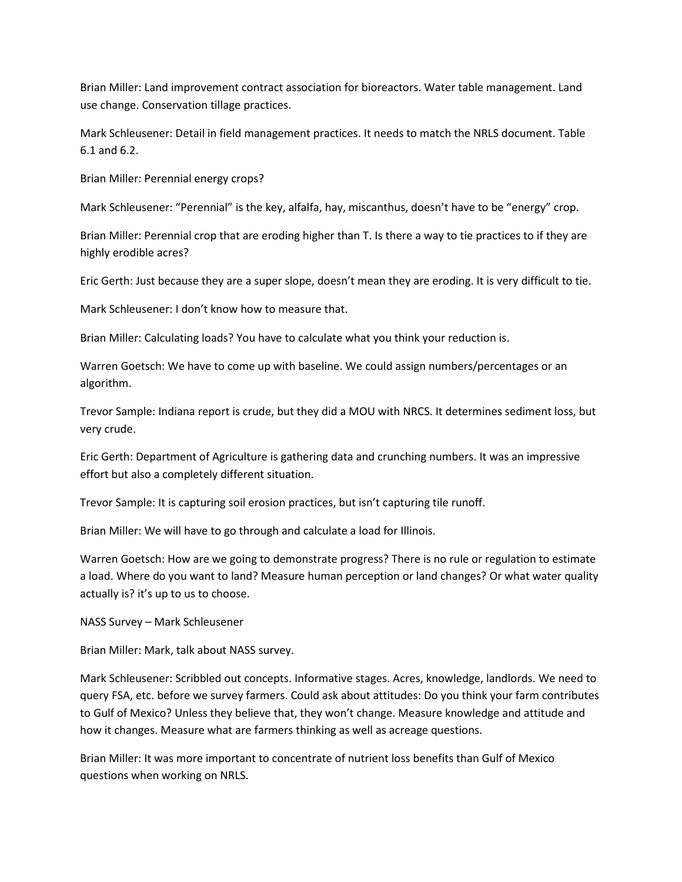Brian Miller: Land improvement contract association for bioreactors. Water table management. Land use change. Conservation tillage practices.

Mark Schleusener: Detail in field management practices. It needs to match the NRLS document. Table 6.1 and 6.2.

Brian Miller: Perennial energy crops?

Mark Schleusener: "Perennial" is the key, alfalfa, hay, miscanthus, doesn't have to be "energy" crop.

Brian Miller: Perennial crop that are eroding higher than T. Is there a way to tie practices to if they are highly erodible acres?

Eric Gerth: Just because they are a super slope, doesn't mean they are eroding. It is very difficult to tie.

Mark Schleusener: I don't know how to measure that.

Brian Miller: Calculating loads? You have to calculate what you think your reduction is.

Warren Goetsch: We have to come up with baseline. We could assign numbers/percentages or an algorithm.

Trevor Sample: Indiana report is crude, but they did a MOU with NRCS. It determines sediment loss, but very crude.

Eric Gerth: Department of Agriculture is gathering data and crunching numbers. It was an impressive effort but also a completely different situation.

Trevor Sample: It is capturing soil erosion practices, but isn't capturing tile runoff.

Brian Miller: We will have to go through and calculate a load for Illinois.

Warren Goetsch: How are we going to demonstrate progress? There is no rule or regulation to estimate a load. Where do you want to land? Measure human perception or land changes? Or what water quality actually is? it's up to us to choose.

NASS Survey – Mark Schleusener

Brian Miller: Mark, talk about NASS survey.

Mark Schleusener: Scribbled out concepts. Informative stages. Acres, knowledge, landlords. We need to query FSA, etc. before we survey farmers. Could ask about attitudes: Do you think your farm contributes to Gulf of Mexico? Unless they believe that, they won't change. Measure knowledge and attitude and how it changes. Measure what are farmers thinking as well as acreage questions.

Brian Miller: It was more important to concentrate of nutrient loss benefits than Gulf of Mexico questions when working on NRLS.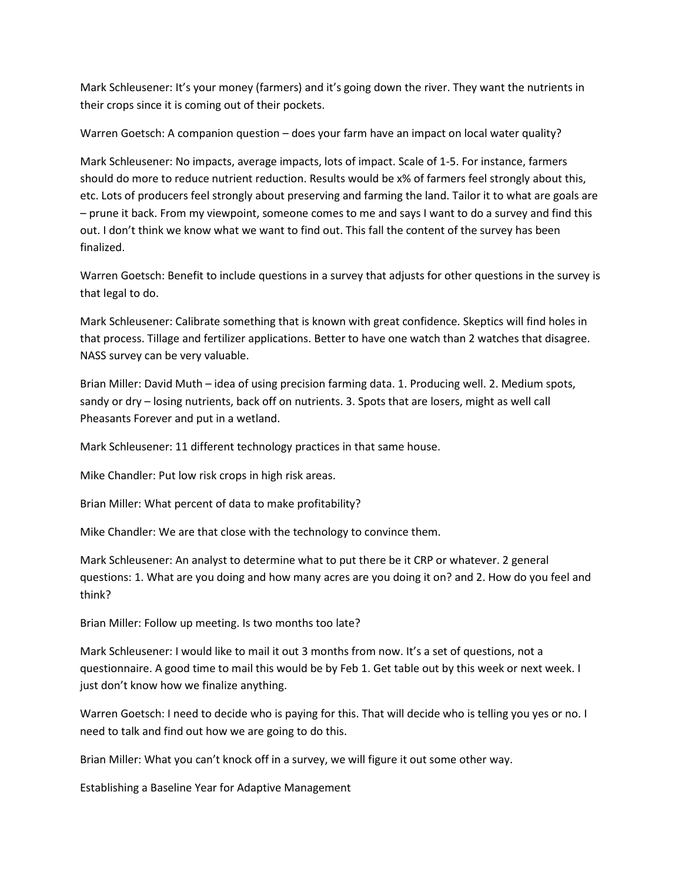Mark Schleusener: It's your money (farmers) and it's going down the river. They want the nutrients in their crops since it is coming out of their pockets.

Warren Goetsch: A companion question – does your farm have an impact on local water quality?

Mark Schleusener: No impacts, average impacts, lots of impact. Scale of 1-5. For instance, farmers should do more to reduce nutrient reduction. Results would be x% of farmers feel strongly about this, etc. Lots of producers feel strongly about preserving and farming the land. Tailor it to what are goals are – prune it back. From my viewpoint, someone comes to me and says I want to do a survey and find this out. I don't think we know what we want to find out. This fall the content of the survey has been finalized.

Warren Goetsch: Benefit to include questions in a survey that adjusts for other questions in the survey is that legal to do.

Mark Schleusener: Calibrate something that is known with great confidence. Skeptics will find holes in that process. Tillage and fertilizer applications. Better to have one watch than 2 watches that disagree. NASS survey can be very valuable.

Brian Miller: David Muth – idea of using precision farming data. 1. Producing well. 2. Medium spots, sandy or dry – losing nutrients, back off on nutrients. 3. Spots that are losers, might as well call Pheasants Forever and put in a wetland.

Mark Schleusener: 11 different technology practices in that same house.

Mike Chandler: Put low risk crops in high risk areas.

Brian Miller: What percent of data to make profitability?

Mike Chandler: We are that close with the technology to convince them.

Mark Schleusener: An analyst to determine what to put there be it CRP or whatever. 2 general questions: 1. What are you doing and how many acres are you doing it on? and 2. How do you feel and think?

Brian Miller: Follow up meeting. Is two months too late?

Mark Schleusener: I would like to mail it out 3 months from now. It's a set of questions, not a questionnaire. A good time to mail this would be by Feb 1. Get table out by this week or next week. I just don't know how we finalize anything.

Warren Goetsch: I need to decide who is paying for this. That will decide who is telling you yes or no. I need to talk and find out how we are going to do this.

Brian Miller: What you can't knock off in a survey, we will figure it out some other way.

Establishing a Baseline Year for Adaptive Management